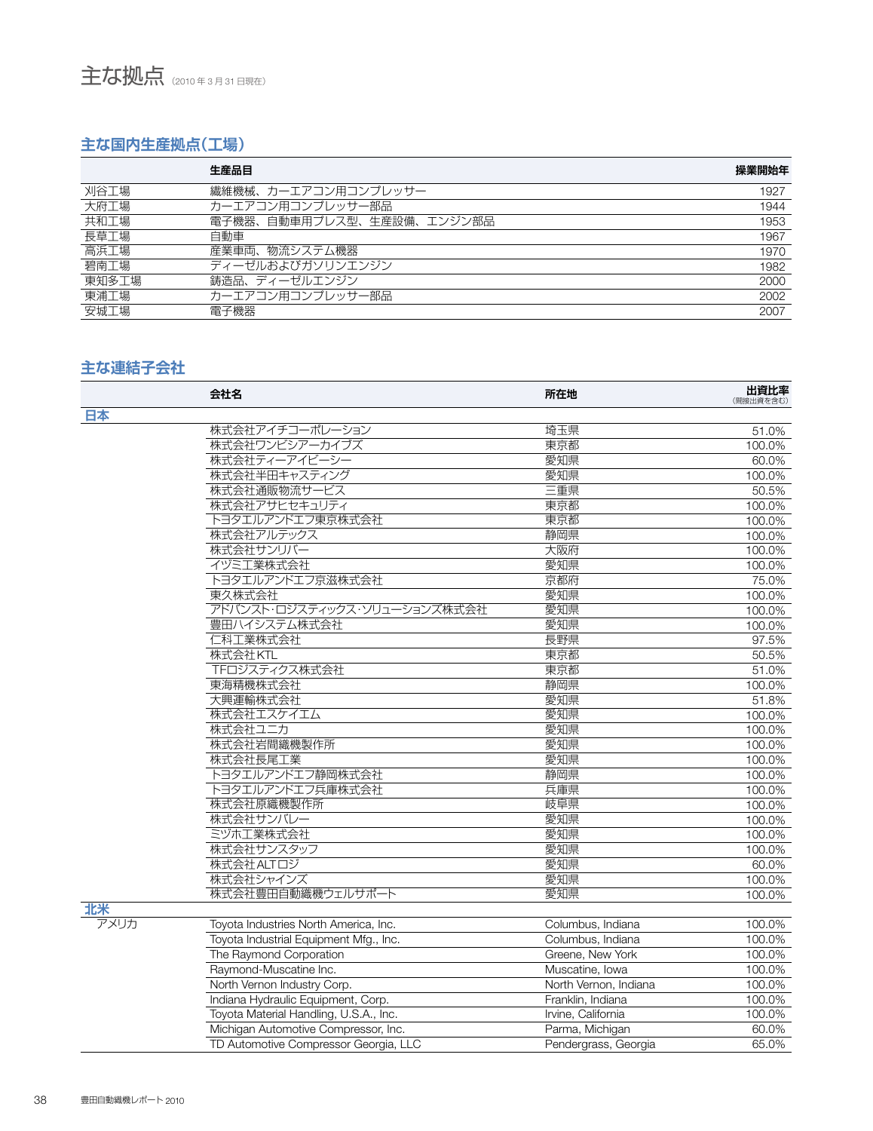## **主な国内生産拠点(工場)**

|       | 生産品目                      | 操業開始年 |
|-------|---------------------------|-------|
| 刈谷工場  | 繊維機械、カーエアコン用コンプレッサー       | 1927  |
| 大府工場  | カーエアコン用コンプレッサー部品          | 1944  |
| 共和工場  | 電子機器、自動車用プレス型、生産設備、エンジン部品 | 1953  |
| 長草工場  | 自動車                       | 1967  |
| 高浜工場  | 産業車両、物流システム機器             | 1970  |
| 碧南工場  | ディーゼルおよびガソリンエンジン          | 1982  |
| 東知多工場 | 鋳造品、ディーゼルエンジン             | 2000  |
| 東浦工場  | カーエアコン用コンプレッサー部品          | 2002  |
| 安城工場  | 電子機器                      | 2007  |

## **主な連結子会社**

|      | 会社名                                    | 所在地                   | 出資比率<br>(間接出資を含む) |
|------|----------------------------------------|-----------------------|-------------------|
| 日本   |                                        |                       |                   |
|      | 株式会社アイチコーポレーション                        | 埼玉県                   | 51.0%             |
|      | 株式会社ワンビシアーカイブズ                         | 東京都                   | 100.0%            |
|      | 株式会社ティーアイビーシー                          | 愛知県                   | 60.0%             |
|      | 株式会社半田キャスティング                          | 愛知県                   | 100.0%            |
|      | 株式会社通販物流サービス                           | 三重県                   | 50.5%             |
|      | 株式会社アサヒセキュリティ                          | 東京都                   | 100.0%            |
|      | トヨタエルアンドエフ東京株式会社                       | 東京都                   | 100.0%            |
|      | 株式会社アルテックス                             | 静岡県                   | 100.0%            |
|      | 株式会社サンリバー                              | 大阪府                   | 100.0%            |
|      | イヅミ工業株式会社                              | 愛知県                   | 100.0%            |
|      | トヨタエルアンドエフ京滋株式会社                       | 京都府                   | 75.0%             |
|      | 東久株式会社                                 | 愛知県                   | 100.0%            |
|      | アドバンスト・ロジスティックス・ソリューションズ株式会社           | 愛知県                   | 100.0%            |
|      | 豊田ハイシステム株式会社                           | 愛知県                   | 100.0%            |
|      | 仁科工業株式会社                               | 長野県                   | 97.5%             |
|      | 株式会社KTL                                | 東京都                   | 50.5%             |
|      | TFロジスティクス株式会社                          | 東京都                   | 51.0%             |
|      | 東海精機株式会社                               | 静岡県                   | 100.0%            |
|      | 大興運輸株式会社                               | 愛知県                   | 51.8%             |
|      | 株式会社エスケイエム                             | 愛知県                   | 100.0%            |
|      | 株式会社ユニカ                                | 愛知県                   | 100.0%            |
|      | 株式会社岩間織機製作所                            | 愛知県                   | 100.0%            |
|      | 株式会社長尾工業                               | 愛知県                   | 100.0%            |
|      | トヨタエルアンドエフ静岡株式会社                       | 静岡県                   | 100.0%            |
|      | トヨタエルアンドエフ兵庫株式会社                       | 兵庫県                   | 100.0%            |
|      | 株式会社原織機製作所                             | 岐阜県                   | 100.0%            |
|      | 株式会社サンバレー                              | 愛知県                   | 100.0%            |
|      | ミヅホ工業株式会社                              | 愛知県                   | 100.0%            |
|      | 株式会社サンスタッフ                             | 愛知県                   | 100.0%            |
|      | 株式会社ALTロジ                              | 愛知県                   | 60.0%             |
|      | 株式会社シャインズ                              | 愛知県                   | 100.0%            |
|      | 株式会社豊田自動織機ウェルサポート                      | 愛知県                   | 100.0%            |
| 北米   |                                        |                       |                   |
| アメリカ | Toyota Industries North America, Inc.  | Columbus, Indiana     | 100.0%            |
|      | Toyota Industrial Equipment Mfg., Inc. | Columbus, Indiana     | 100.0%            |
|      | The Raymond Corporation                | Greene, New York      | 100.0%            |
|      | Raymond-Muscatine Inc.                 | Muscatine, Iowa       | 100.0%            |
|      | North Vernon Industry Corp.            | North Vernon, Indiana | 100.0%            |
|      | Indiana Hydraulic Equipment, Corp.     | Franklin, Indiana     | 100.0%            |
|      | Toyota Material Handling, U.S.A., Inc. | Irvine, California    | 100.0%            |
|      | Michigan Automotive Compressor, Inc.   | Parma, Michigan       | 60.0%             |
|      | TD Automotive Compressor Georgia, LLC  | Pendergrass, Georgia  | 65.0%             |